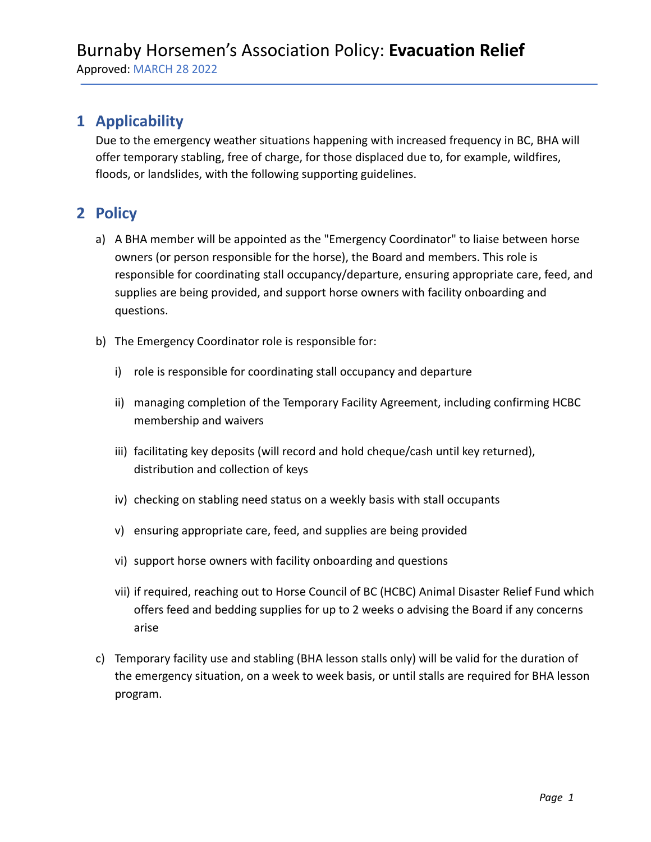#### **1 Applicability**

Due to the emergency weather situations happening with increased frequency in BC, BHA will offer temporary stabling, free of charge, for those displaced due to, for example, wildfires, floods, or landslides, with the following supporting guidelines.

## **2 Policy**

- a) A BHA member will be appointed as the "Emergency Coordinator" to liaise between horse owners (or person responsible for the horse), the Board and members. This role is responsible for coordinating stall occupancy/departure, ensuring appropriate care, feed, and supplies are being provided, and support horse owners with facility onboarding and questions.
- b) The Emergency Coordinator role is responsible for:
	- i) role is responsible for coordinating stall occupancy and departure
	- ii) managing completion of the Temporary Facility Agreement, including confirming HCBC membership and waivers
	- iii) facilitating key deposits (will record and hold cheque/cash until key returned), distribution and collection of keys
	- iv) checking on stabling need status on a weekly basis with stall occupants
	- v) ensuring appropriate care, feed, and supplies are being provided
	- vi) support horse owners with facility onboarding and questions
	- vii) if required, reaching out to Horse Council of BC (HCBC) Animal Disaster Relief Fund which offers feed and bedding supplies for up to 2 weeks o advising the Board if any concerns arise
- c) Temporary facility use and stabling (BHA lesson stalls only) will be valid for the duration of the emergency situation, on a week to week basis, or until stalls are required for BHA lesson program.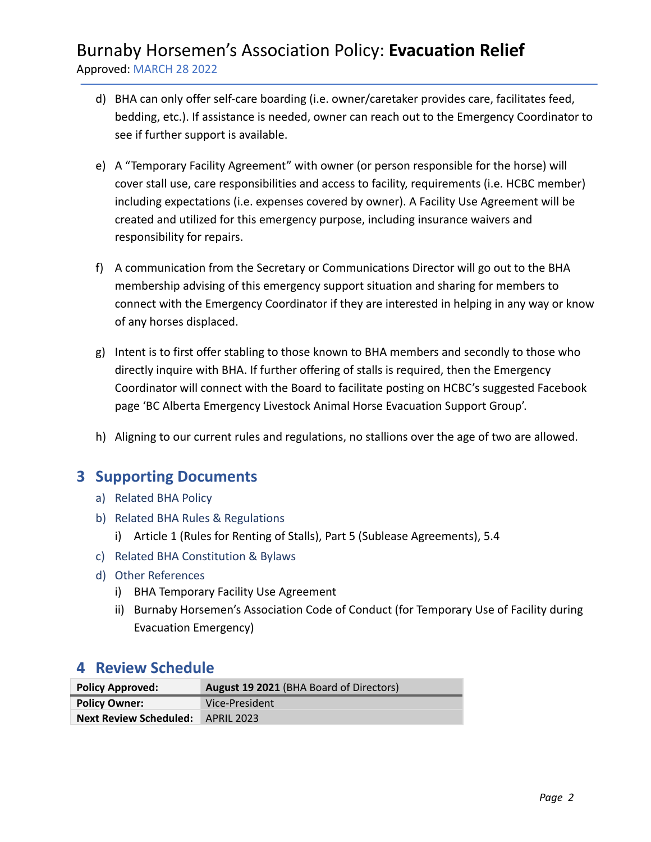## Burnaby Horsemen's Association Policy: **Evacuation Relief** Approved: MARCH 28 2022

- d) BHA can only offer self-care boarding (i.e. owner/caretaker provides care, facilitates feed, bedding, etc.). If assistance is needed, owner can reach out to the Emergency Coordinator to see if further support is available.
- e) A "Temporary Facility Agreement" with owner (or person responsible for the horse) will cover stall use, care responsibilities and access to facility, requirements (i.e. HCBC member) including expectations (i.e. expenses covered by owner). A Facility Use Agreement will be created and utilized for this emergency purpose, including insurance waivers and responsibility for repairs.
- f) A communication from the Secretary or Communications Director will go out to the BHA membership advising of this emergency support situation and sharing for members to connect with the Emergency Coordinator if they are interested in helping in any way or know of any horses displaced.
- g) Intent is to first offer stabling to those known to BHA members and secondly to those who directly inquire with BHA. If further offering of stalls is required, then the Emergency Coordinator will connect with the Board to facilitate posting on HCBC's suggested Facebook page 'BC Alberta Emergency Livestock Animal Horse Evacuation Support Group'.
- h) Aligning to our current rules and regulations, no stallions over the age of two are allowed.

### **3 Supporting Documents**

- a) Related BHA Policy
- b) Related BHA Rules & Regulations
	- i) Article 1 (Rules for Renting of Stalls), Part 5 (Sublease Agreements), 5.4
- c) Related BHA Constitution & Bylaws
- d) Other References
	- i) BHA Temporary Facility Use Agreement
	- ii) Burnaby Horsemen's Association Code of Conduct (for Temporary Use of Facility during Evacuation Emergency)

#### **4 Review Schedule**

| <b>Policy Approved:</b>                  | August 19 2021 (BHA Board of Directors) |  |
|------------------------------------------|-----------------------------------------|--|
| <b>Policy Owner:</b>                     | Vice-President                          |  |
| <b>Next Review Scheduled: APRIL 2023</b> |                                         |  |